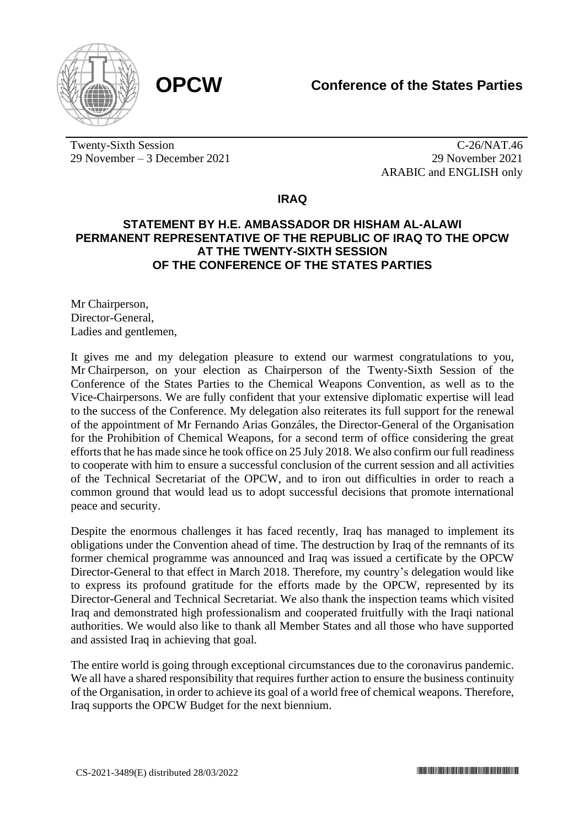

Twenty-Sixth Session 29 November – 3 December 2021

C-26/NAT.46 29 November 2021 ARABIC and ENGLISH only

**IRAQ**

## **STATEMENT BY H.E. AMBASSADOR DR HISHAM AL-ALAWI PERMANENT REPRESENTATIVE OF THE REPUBLIC OF IRAQ TO THE OPCW AT THE TWENTY-SIXTH SESSION OF THE CONFERENCE OF THE STATES PARTIES**

Mr Chairperson, Director-General, Ladies and gentlemen,

It gives me and my delegation pleasure to extend our warmest congratulations to you, Mr Chairperson, on your election as Chairperson of the Twenty-Sixth Session of the Conference of the States Parties to the Chemical Weapons Convention, as well as to the Vice-Chairpersons. We are fully confident that your extensive diplomatic expertise will lead to the success of the Conference. My delegation also reiterates its full support for the renewal of the appointment of Mr Fernando Arias Gonzáles, the Director-General of the Organisation for the Prohibition of Chemical Weapons, for a second term of office considering the great efforts that he has made since he took office on 25 July 2018. We also confirm our full readiness to cooperate with him to ensure a successful conclusion of the current session and all activities of the Technical Secretariat of the OPCW, and to iron out difficulties in order to reach a common ground that would lead us to adopt successful decisions that promote international peace and security.

Despite the enormous challenges it has faced recently, Iraq has managed to implement its obligations under the Convention ahead of time. The destruction by Iraq of the remnants of its former chemical programme was announced and Iraq was issued a certificate by the OPCW Director-General to that effect in March 2018. Therefore, my country's delegation would like to express its profound gratitude for the efforts made by the OPCW, represented by its Director-General and Technical Secretariat. We also thank the inspection teams which visited Iraq and demonstrated high professionalism and cooperated fruitfully with the Iraqi national authorities. We would also like to thank all Member States and all those who have supported and assisted Iraq in achieving that goal.

The entire world is going through exceptional circumstances due to the coronavirus pandemic. We all have a shared responsibility that requires further action to ensure the business continuity of the Organisation, in order to achieve its goal of a world free of chemical weapons. Therefore, Iraq supports the OPCW Budget for the next biennium.